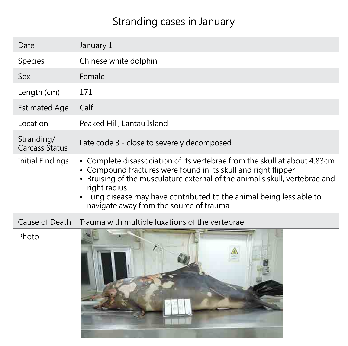| Date                                | January 1                                                                                                                                                                                   |
|-------------------------------------|---------------------------------------------------------------------------------------------------------------------------------------------------------------------------------------------|
| Species                             | Chinese white dolphin                                                                                                                                                                       |
| <b>Sex</b>                          | Female                                                                                                                                                                                      |
| Length (cm)                         | 171                                                                                                                                                                                         |
| <b>Estimated Age</b>                | Calf                                                                                                                                                                                        |
| Location                            | Peaked Hill, Lantau Island                                                                                                                                                                  |
| Stranding/<br><b>Carcass Status</b> | Late code 3 - close to severely                                                                                                                                                             |
| <b>Initial Findings</b>             | • Complete disassociation of it<br>• Compound fractures were fo<br>• Bruising of the musculature $\epsilon$<br>right radius<br>· Lung disease may have conti<br>navigate away from the sour |
| <b>Cause of Death</b>               | Trauma with multiple luxations                                                                                                                                                              |
| Photo                               |                                                                                                                                                                                             |

### decomposed

its vertebrae from the skull at about 4.83cm bund in its skull and right flipper external of the animal's skull, vertebrae and

tributed to the animal being less able to rce of trauma

#### of the vertebrae



# Stranding cases in January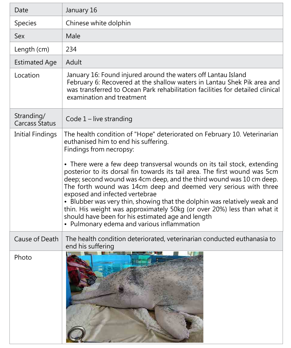| Date                                | January 16                                                                                                                                                                                                                                                                                                                                                                                                                                                                                                                                                                                                                                                                                                                                    |
|-------------------------------------|-----------------------------------------------------------------------------------------------------------------------------------------------------------------------------------------------------------------------------------------------------------------------------------------------------------------------------------------------------------------------------------------------------------------------------------------------------------------------------------------------------------------------------------------------------------------------------------------------------------------------------------------------------------------------------------------------------------------------------------------------|
| Species                             | Chinese white dolphin                                                                                                                                                                                                                                                                                                                                                                                                                                                                                                                                                                                                                                                                                                                         |
| Sex                                 | Male                                                                                                                                                                                                                                                                                                                                                                                                                                                                                                                                                                                                                                                                                                                                          |
| Length (cm)                         | 234                                                                                                                                                                                                                                                                                                                                                                                                                                                                                                                                                                                                                                                                                                                                           |
| <b>Estimated Age</b>                | Adult                                                                                                                                                                                                                                                                                                                                                                                                                                                                                                                                                                                                                                                                                                                                         |
| Location                            | January 16: Found injured around the waters off Lantau Island<br>February 6: Recovered at the shallow waters in Lantau Shek Pik area and<br>was transferred to Ocean Park rehabilitation facilities for detailed clinical<br>examination and treatment                                                                                                                                                                                                                                                                                                                                                                                                                                                                                        |
| Stranding/<br><b>Carcass Status</b> | Code $1$ – live stranding                                                                                                                                                                                                                                                                                                                                                                                                                                                                                                                                                                                                                                                                                                                     |
| <b>Initial Findings</b>             | The health condition of "Hope" deteriorated on February 10. Veterinarian<br>euthanised him to end his suffering.<br>Findings from necropsy:<br>• There were a few deep transversal wounds on its tail stock, extending<br>posterior to its dorsal fin towards its tail area. The first wound was 5cm<br>deep; second wound was 4cm deep, and the third wound was 10 cm deep.<br>The forth wound was 14cm deep and deemed very serious with three<br>exposed and infected vertebrae<br>• Blubber was very thin, showing that the dolphin was relatively weak and<br>thin. His weight was approximately 50kg (or over 20%) less than what it<br>should have been for his estimated age and length<br>• Pulmonary edema and various inflammation |
| Cause of Death                      | The health condition deteriorated, veterinarian conducted euthanasia to<br>end his suffering                                                                                                                                                                                                                                                                                                                                                                                                                                                                                                                                                                                                                                                  |
| Photo                               |                                                                                                                                                                                                                                                                                                                                                                                                                                                                                                                                                                                                                                                                                                                                               |

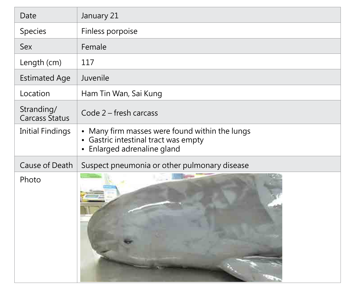| Date                                | January 21                                                                                      |
|-------------------------------------|-------------------------------------------------------------------------------------------------|
| <b>Species</b>                      | Finless porpoise                                                                                |
| <b>Sex</b>                          | Female                                                                                          |
| Length (cm)                         | 117                                                                                             |
| <b>Estimated Age</b>                | Juvenile                                                                                        |
| Location                            | Ham Tin Wan, Sai Kung                                                                           |
| Stranding/<br><b>Carcass Status</b> | Code 2 – fresh carcass                                                                          |
| <b>Initial Findings</b>             | • Many firm masses were four<br>· Gastric intestinal tract was e<br>• Enlarged adrenaline gland |
| <b>Cause of Death</b>               | Suspect pneumonia or other p                                                                    |
| Photo                               |                                                                                                 |

### nd within the lungs empty

## pulmonary disease